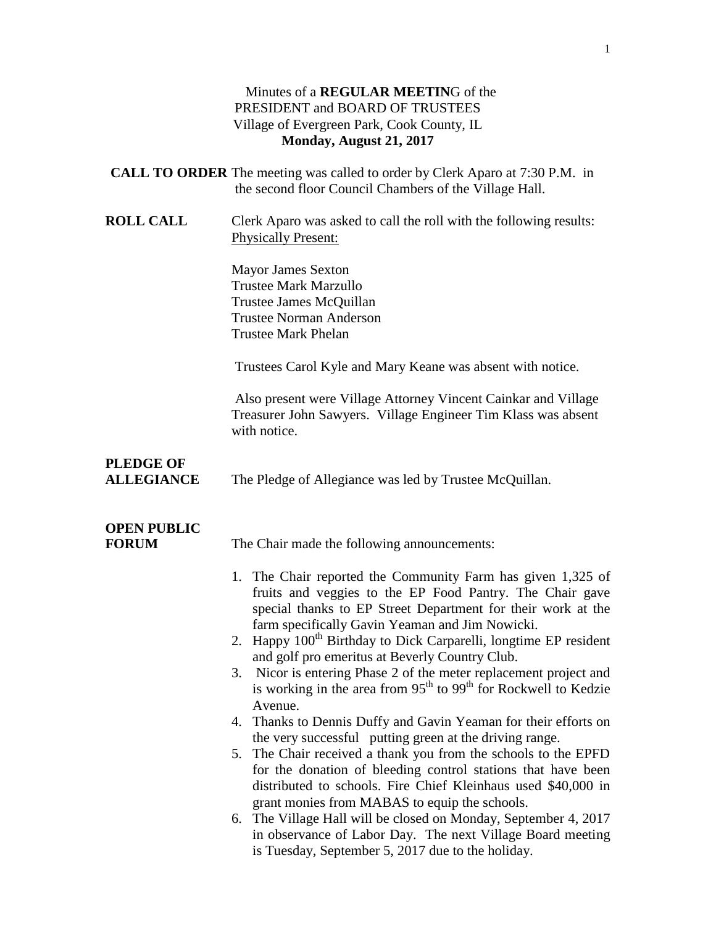#### Minutes of a **REGULAR MEETIN**G of the PRESIDENT and BOARD OF TRUSTEES Village of Evergreen Park, Cook County, IL **Monday, August 21, 2017**

| <b>CALL TO ORDER</b> The meeting was called to order by Clerk Aparo at 7:30 P.M. in |  |
|-------------------------------------------------------------------------------------|--|
| the second floor Council Chambers of the Village Hall.                              |  |

**ROLL CALL** Clerk Aparo was asked to call the roll with the following results: Physically Present:

> Mayor James Sexton Trustee Mark Marzullo Trustee James McQuillan Trustee Norman Anderson Trustee Mark Phelan

Trustees Carol Kyle and Mary Keane was absent with notice.

Also present were Village Attorney Vincent Cainkar and Village Treasurer John Sawyers. Village Engineer Tim Klass was absent with notice.

## **PLEDGE OF**

**ALLEGIANCE** The Pledge of Allegiance was led by Trustee McQuillan.

## **OPEN PUBLIC**

**FORUM** The Chair made the following announcements:

- 1. The Chair reported the Community Farm has given 1,325 of fruits and veggies to the EP Food Pantry. The Chair gave special thanks to EP Street Department for their work at the farm specifically Gavin Yeaman and Jim Nowicki.
- 2. Happy  $100<sup>th</sup>$  Birthday to Dick Carparelli, longtime EP resident and golf pro emeritus at Beverly Country Club.
- 3. Nicor is entering Phase 2 of the meter replacement project and is working in the area from  $95<sup>th</sup>$  to  $99<sup>th</sup>$  for Rockwell to Kedzie Avenue.
- 4. Thanks to Dennis Duffy and Gavin Yeaman for their efforts on the very successful putting green at the driving range.
- 5. The Chair received a thank you from the schools to the EPFD for the donation of bleeding control stations that have been distributed to schools. Fire Chief Kleinhaus used \$40,000 in grant monies from MABAS to equip the schools.
- 6. The Village Hall will be closed on Monday, September 4, 2017 in observance of Labor Day. The next Village Board meeting is Tuesday, September 5, 2017 due to the holiday.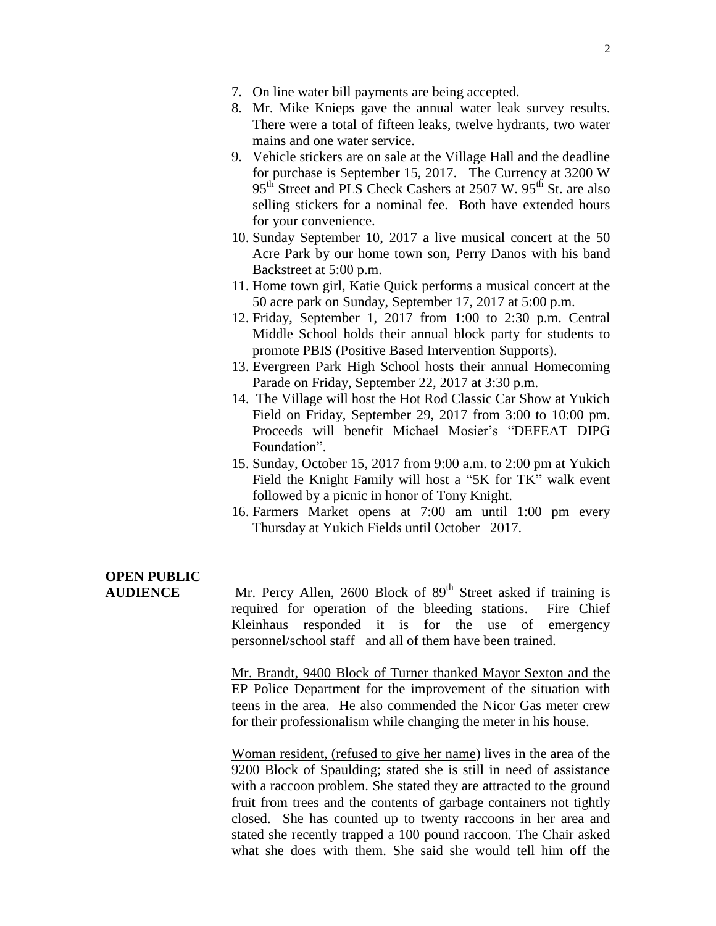- 7. On line water bill payments are being accepted.
- 8. Mr. Mike Knieps gave the annual water leak survey results. There were a total of fifteen leaks, twelve hydrants, two water mains and one water service.
- 9. Vehicle stickers are on sale at the Village Hall and the deadline for purchase is September 15, 2017. The Currency at 3200 W 95<sup>th</sup> Street and PLS Check Cashers at 2507 W. 95<sup>th</sup> St. are also selling stickers for a nominal fee. Both have extended hours for your convenience.
- 10. Sunday September 10, 2017 a live musical concert at the 50 Acre Park by our home town son, Perry Danos with his band Backstreet at 5:00 p.m.
- 11. Home town girl, Katie Quick performs a musical concert at the 50 acre park on Sunday, September 17, 2017 at 5:00 p.m.
- 12. Friday, September 1, 2017 from 1:00 to 2:30 p.m. Central Middle School holds their annual block party for students to promote PBIS (Positive Based Intervention Supports).
- 13. Evergreen Park High School hosts their annual Homecoming Parade on Friday, September 22, 2017 at 3:30 p.m.
- 14. The Village will host the Hot Rod Classic Car Show at Yukich Field on Friday, September 29, 2017 from 3:00 to 10:00 pm. Proceeds will benefit Michael Mosier's "DEFEAT DIPG Foundation".
- 15. Sunday, October 15, 2017 from 9:00 a.m. to 2:00 pm at Yukich Field the Knight Family will host a "5K for TK" walk event followed by a picnic in honor of Tony Knight.
- 16. Farmers Market opens at 7:00 am until 1:00 pm every Thursday at Yukich Fields until October 2017.

# **OPEN PUBLIC**

**AUDIENCE** Mr. Percy Allen, 2600 Block of 89<sup>th</sup> Street asked if training is required for operation of the bleeding stations. Fire Chief Kleinhaus responded it is for the use of emergency personnel/school staff and all of them have been trained.

> Mr. Brandt, 9400 Block of Turner thanked Mayor Sexton and the EP Police Department for the improvement of the situation with teens in the area. He also commended the Nicor Gas meter crew for their professionalism while changing the meter in his house.

> Woman resident, (refused to give her name) lives in the area of the 9200 Block of Spaulding; stated she is still in need of assistance with a raccoon problem. She stated they are attracted to the ground fruit from trees and the contents of garbage containers not tightly closed. She has counted up to twenty raccoons in her area and stated she recently trapped a 100 pound raccoon. The Chair asked what she does with them. She said she would tell him off the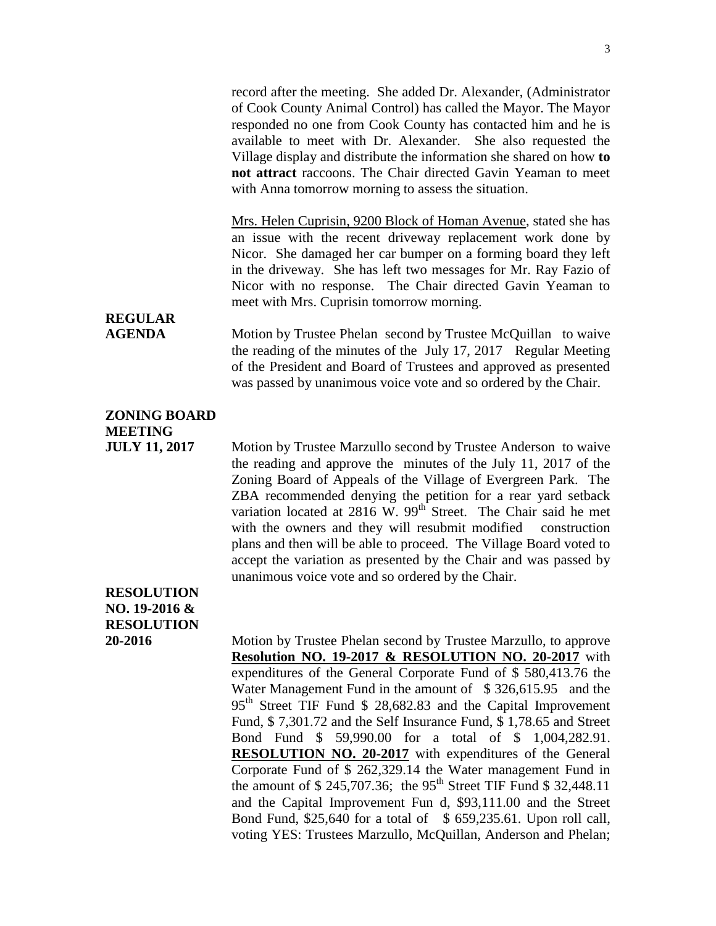record after the meeting. She added Dr. Alexander, (Administrator of Cook County Animal Control) has called the Mayor. The Mayor responded no one from Cook County has contacted him and he is available to meet with Dr. Alexander. She also requested the Village display and distribute the information she shared on how **to not attract** raccoons. The Chair directed Gavin Yeaman to meet with Anna tomorrow morning to assess the situation.

Mrs. Helen Cuprisin, 9200 Block of Homan Avenue, stated she has an issue with the recent driveway replacement work done by Nicor. She damaged her car bumper on a forming board they left in the driveway. She has left two messages for Mr. Ray Fazio of Nicor with no response. The Chair directed Gavin Yeaman to meet with Mrs. Cuprisin tomorrow morning.

## **REGULAR**

**AGENDA** Motion by Trustee Phelan second by Trustee McQuillan to waive the reading of the minutes of the July 17, 2017 Regular Meeting of the President and Board of Trustees and approved as presented was passed by unanimous voice vote and so ordered by the Chair.

### **ZONING BOARD MEETING**

**JULY 11, 2017** Motion by Trustee Marzullo second by Trustee Anderson to waive the reading and approve the minutes of the July 11, 2017 of the Zoning Board of Appeals of the Village of Evergreen Park. The ZBA recommended denying the petition for a rear yard setback variation located at  $2816$  W.  $99<sup>th</sup>$  Street. The Chair said he met with the owners and they will resubmit modified construction plans and then will be able to proceed. The Village Board voted to accept the variation as presented by the Chair and was passed by unanimous voice vote and so ordered by the Chair.

### **RESOLUTION NO. 19-2016 & RESOLUTION**

**20-2016** Motion by Trustee Phelan second by Trustee Marzullo, to approve **Resolution NO. 19-2017 & RESOLUTION NO. 20-2017** with expenditures of the General Corporate Fund of \$ 580,413.76 the Water Management Fund in the amount of \$326,615.95 and the  $95<sup>th</sup>$  Street TIF Fund \$ 28,682.83 and the Capital Improvement Fund, \$ 7,301.72 and the Self Insurance Fund, \$ 1,78.65 and Street Bond Fund \$ 59,990.00 for a total of \$ 1,004,282.91. **RESOLUTION NO. 20-2017** with expenditures of the General Corporate Fund of \$ 262,329.14 the Water management Fund in the amount of  $$ 245,707.36$ ; the  $95<sup>th</sup>$  Street TIF Fund  $$ 32,448.11$ and the Capital Improvement Fun d, \$93,111.00 and the Street Bond Fund, \$25,640 for a total of \$ 659,235.61. Upon roll call, voting YES: Trustees Marzullo, McQuillan, Anderson and Phelan;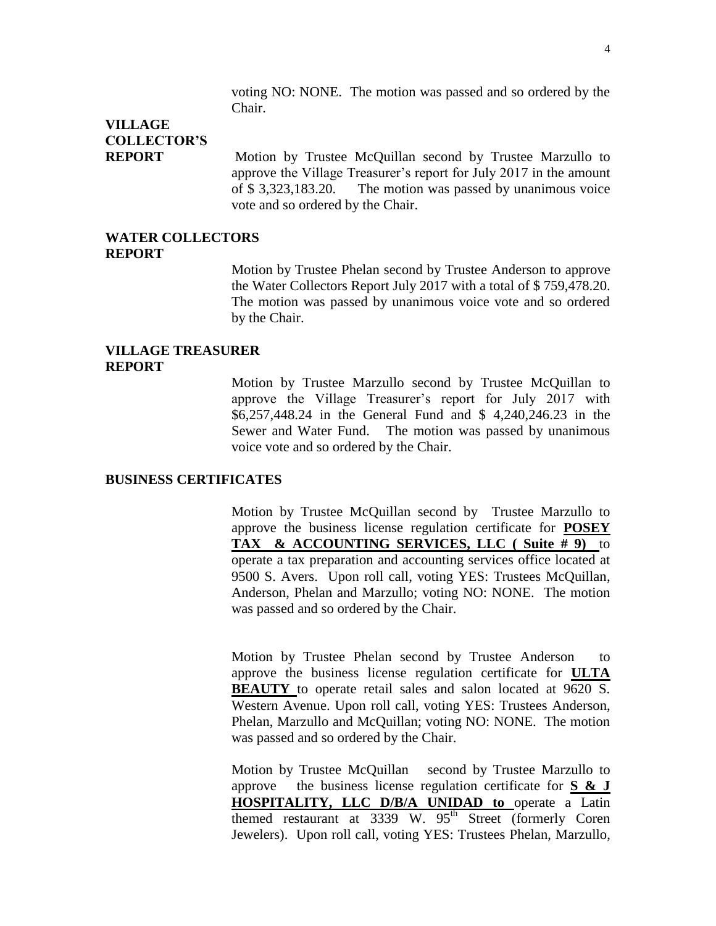voting NO: NONE. The motion was passed and so ordered by the Chair.

## **VILLAGE COLLECTOR'S**

**REPORT** Motion by Trustee McQuillan second by Trustee Marzullo to approve the Village Treasurer's report for July 2017 in the amount of \$ 3,323,183.20. The motion was passed by unanimous voice vote and so ordered by the Chair.

#### **WATER COLLECTORS REPORT**

Motion by Trustee Phelan second by Trustee Anderson to approve the Water Collectors Report July 2017 with a total of \$ 759,478.20. The motion was passed by unanimous voice vote and so ordered by the Chair.

#### **VILLAGE TREASURER REPORT**

Motion by Trustee Marzullo second by Trustee McQuillan to approve the Village Treasurer's report for July 2017 with \$6,257,448.24 in the General Fund and \$ 4,240,246.23 in the Sewer and Water Fund. The motion was passed by unanimous voice vote and so ordered by the Chair.

#### **BUSINESS CERTIFICATES**

Motion by Trustee McQuillan second by Trustee Marzullo to approve the business license regulation certificate for **POSEY TAX & ACCOUNTING SERVICES, LLC ( Suite # 9)** to operate a tax preparation and accounting services office located at 9500 S. Avers. Upon roll call, voting YES: Trustees McQuillan, Anderson, Phelan and Marzullo; voting NO: NONE. The motion was passed and so ordered by the Chair.

Motion by Trustee Phelan second by Trustee Anderson to approve the business license regulation certificate for **ULTA BEAUTY** to operate retail sales and salon located at 9620 S. Western Avenue. Upon roll call, voting YES: Trustees Anderson, Phelan, Marzullo and McQuillan; voting NO: NONE. The motion was passed and so ordered by the Chair.

Motion by Trustee McQuillan second by Trustee Marzullo to approve the business license regulation certificate for **S & J HOSPITALITY, LLC D/B/A UNIDAD to** operate a Latin themed restaurant at  $3339$  W.  $95<sup>th</sup>$  Street (formerly Coren Jewelers). Upon roll call, voting YES: Trustees Phelan, Marzullo,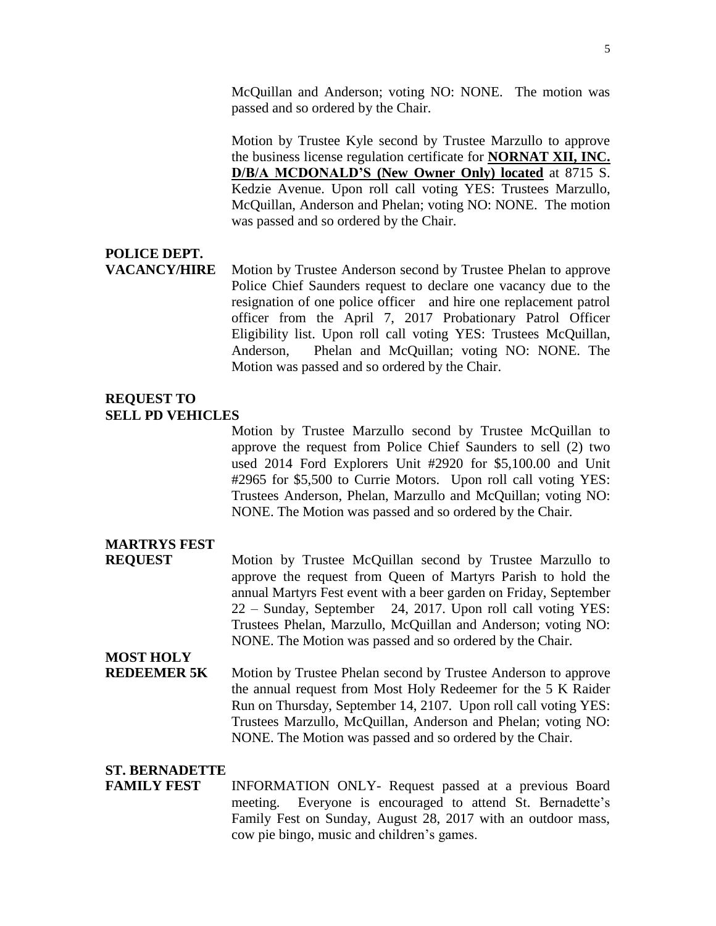McQuillan and Anderson; voting NO: NONE. The motion was passed and so ordered by the Chair.

Motion by Trustee Kyle second by Trustee Marzullo to approve the business license regulation certificate for **NORNAT XII, INC. D/B/A MCDONALD'S (New Owner Only) located** at 8715 S. Kedzie Avenue. Upon roll call voting YES: Trustees Marzullo, McQuillan, Anderson and Phelan; voting NO: NONE. The motion was passed and so ordered by the Chair.

### **POLICE DEPT.**

**VACANCY/HIRE** Motion by Trustee Anderson second by Trustee Phelan to approve Police Chief Saunders request to declare one vacancy due to the resignation of one police officer and hire one replacement patrol officer from the April 7, 2017 Probationary Patrol Officer Eligibility list. Upon roll call voting YES: Trustees McQuillan, Anderson, Phelan and McQuillan; voting NO: NONE. The Motion was passed and so ordered by the Chair.

#### **REQUEST TO SELL PD VEHICLES**

Motion by Trustee Marzullo second by Trustee McQuillan to approve the request from Police Chief Saunders to sell (2) two used 2014 Ford Explorers Unit #2920 for \$5,100.00 and Unit #2965 for \$5,500 to Currie Motors. Upon roll call voting YES: Trustees Anderson, Phelan, Marzullo and McQuillan; voting NO: NONE. The Motion was passed and so ordered by the Chair.

### **MARTRYS FEST**

**REQUEST** Motion by Trustee McQuillan second by Trustee Marzullo to approve the request from Queen of Martyrs Parish to hold the annual Martyrs Fest event with a beer garden on Friday, September 22 – Sunday, September 24, 2017. Upon roll call voting YES: Trustees Phelan, Marzullo, McQuillan and Anderson; voting NO: NONE. The Motion was passed and so ordered by the Chair.

### **MOST HOLY**

**REDEEMER 5K** Motion by Trustee Phelan second by Trustee Anderson to approve the annual request from Most Holy Redeemer for the 5 K Raider Run on Thursday, September 14, 2107. Upon roll call voting YES: Trustees Marzullo, McQuillan, Anderson and Phelan; voting NO: NONE. The Motion was passed and so ordered by the Chair.

#### **ST. BERNADETTE**

#### **FAMILY FEST** INFORMATION ONLY-Request passed at a previous Board meeting. Everyone is encouraged to attend St. Bernadette's Family Fest on Sunday, August 28, 2017 with an outdoor mass, cow pie bingo, music and children's games.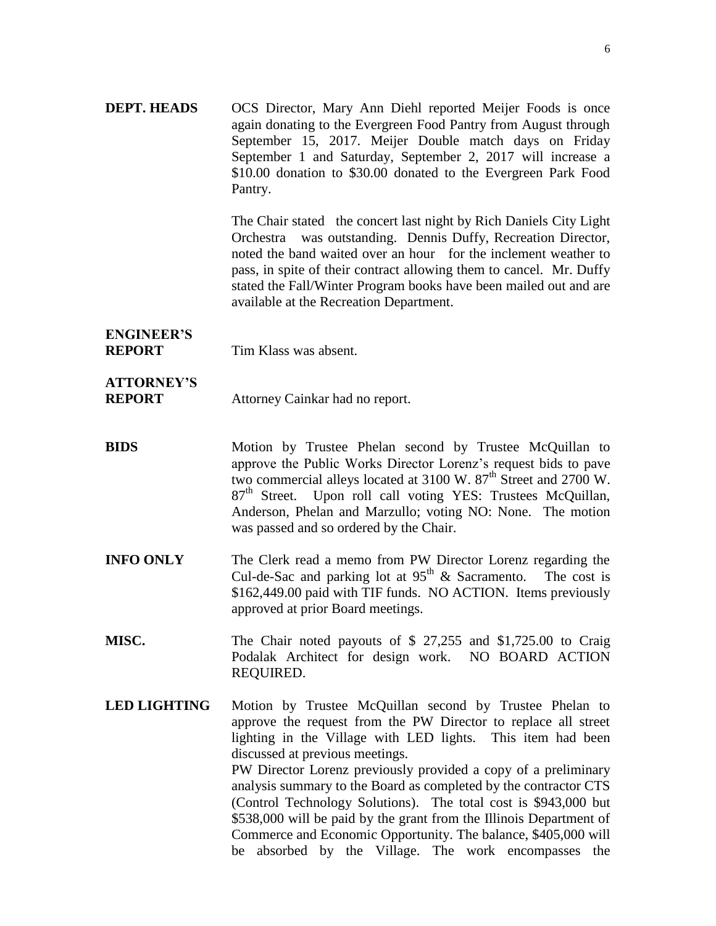**DEPT. HEADS** OCS Director, Mary Ann Diehl reported Meijer Foods is once again donating to the Evergreen Food Pantry from August through September 15, 2017. Meijer Double match days on Friday September 1 and Saturday, September 2, 2017 will increase a \$10.00 donation to \$30.00 donated to the Evergreen Park Food Pantry.

> The Chair stated the concert last night by Rich Daniels City Light Orchestra was outstanding. Dennis Duffy, Recreation Director, noted the band waited over an hour for the inclement weather to pass, in spite of their contract allowing them to cancel. Mr. Duffy stated the Fall/Winter Program books have been mailed out and are available at the Recreation Department.

# **ENGINEER'S**

**REPORT** Tim Klass was absent.

- **ATTORNEY'S REPORT** Attorney Cainkar had no report.
- **BIDS** Motion by Trustee Phelan second by Trustee McQuillan to approve the Public Works Director Lorenz's request bids to pave two commercial alleys located at  $3100 \text{ W}$ .  $87^{\text{th}}$  Street and  $2700 \text{ W}$ .  $87<sup>th</sup>$  Street. Upon roll call voting YES: Trustees McQuillan, Anderson, Phelan and Marzullo; voting NO: None. The motion was passed and so ordered by the Chair.
- **INFO ONLY** The Clerk read a memo from PW Director Lorenz regarding the Cul-de-Sac and parking lot at  $95<sup>th</sup>$  & Sacramento. The cost is \$162,449.00 paid with TIF funds. NO ACTION. Items previously approved at prior Board meetings.
- **MISC.** The Chair noted payouts of \$ 27,255 and \$1,725.00 to Craig Podalak Architect for design work. NO BOARD ACTION REQUIRED.
- **LED LIGHTING** Motion by Trustee McQuillan second by Trustee Phelan to approve the request from the PW Director to replace all street lighting in the Village with LED lights. This item had been discussed at previous meetings. PW Director Lorenz previously provided a copy of a preliminary analysis summary to the Board as completed by the contractor CTS (Control Technology Solutions). The total cost is \$943,000 but \$538,000 will be paid by the grant from the Illinois Department of Commerce and Economic Opportunity. The balance, \$405,000 will be absorbed by the Village. The work encompasses the